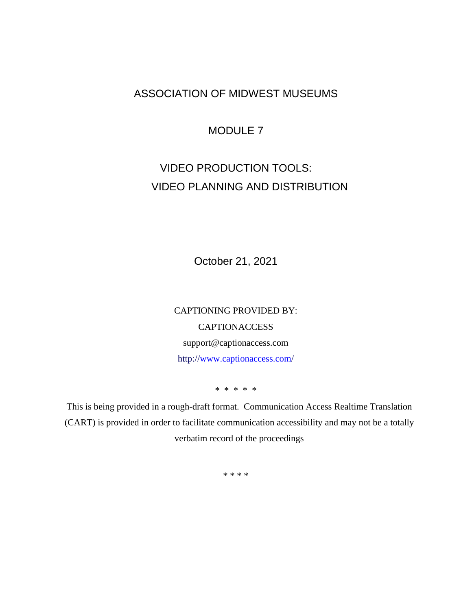## ASSOCIATION OF MIDWEST MUSEUMS

## MODULE 7

# VIDEO PRODUCTION TOOLS: VIDEO PLANNING AND DISTRIBUTION

October 21, 2021

CAPTIONING PROVIDED BY: **CAPTIONACCESS** support@captionaccess.com http:/[/www.captionaccess.com/](http://www.captionaccess.com/)

\* \* \* \* \*

This is being provided in a rough-draft format. Communication Access Realtime Translation (CART) is provided in order to facilitate communication accessibility and may not be a totally verbatim record of the proceedings

\* \* \* \*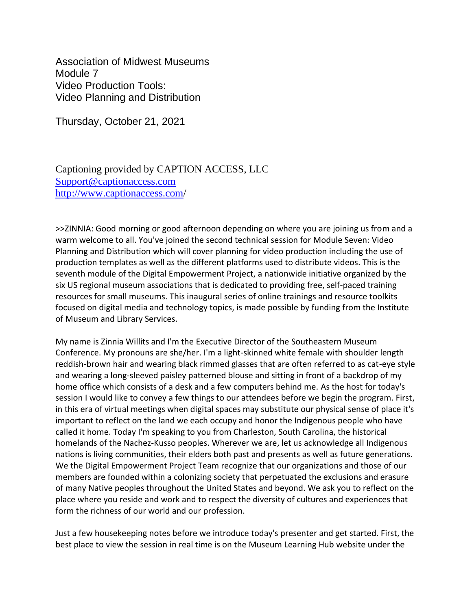Association of Midwest Museums Module 7 Video Production Tools: Video Planning and Distribution

Thursday, October 21, 2021

Captioning provided by CAPTION ACCESS, LLC [Support@captionaccess.com](mailto:Support@captionaccess.com) <http://www.captionaccess.com/>

>>ZINNIA: Good morning or good afternoon depending on where you are joining us from and a warm welcome to all. You've joined the second technical session for Module Seven: Video Planning and Distribution which will cover planning for video production including the use of production templates as well as the different platforms used to distribute videos. This is the seventh module of the Digital Empowerment Project, a nationwide initiative organized by the six US regional museum associations that is dedicated to providing free, self-paced training resources for small museums. This inaugural series of online trainings and resource toolkits focused on digital media and technology topics, is made possible by funding from the Institute of Museum and Library Services.

My name is Zinnia Willits and I'm the Executive Director of the Southeastern Museum Conference. My pronouns are she/her. I'm a light-skinned white female with shoulder length reddish-brown hair and wearing black rimmed glasses that are often referred to as cat-eye style and wearing a long-sleeved paisley patterned blouse and sitting in front of a backdrop of my home office which consists of a desk and a few computers behind me. As the host for today's session I would like to convey a few things to our attendees before we begin the program. First, in this era of virtual meetings when digital spaces may substitute our physical sense of place it's important to reflect on the land we each occupy and honor the Indigenous people who have called it home. Today I'm speaking to you from Charleston, South Carolina, the historical homelands of the Nachez-Kusso peoples. Wherever we are, let us acknowledge all Indigenous nations is living communities, their elders both past and presents as well as future generations. We the Digital Empowerment Project Team recognize that our organizations and those of our members are founded within a colonizing society that perpetuated the exclusions and erasure of many Native peoples throughout the United States and beyond. We ask you to reflect on the place where you reside and work and to respect the diversity of cultures and experiences that form the richness of our world and our profession.

Just a few housekeeping notes before we introduce today's presenter and get started. First, the best place to view the session in real time is on the Museum Learning Hub website under the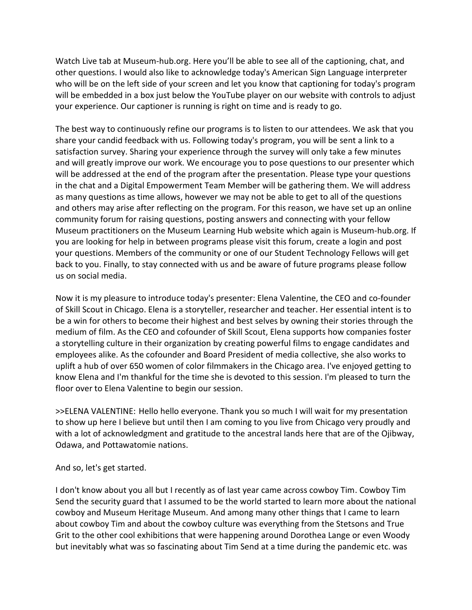Watch Live tab at Museum-hub.org. Here you'll be able to see all of the captioning, chat, and other questions. I would also like to acknowledge today's American Sign Language interpreter who will be on the left side of your screen and let you know that captioning for today's program will be embedded in a box just below the YouTube player on our website with controls to adjust your experience. Our captioner is running is right on time and is ready to go.

The best way to continuously refine our programs is to listen to our attendees. We ask that you share your candid feedback with us. Following today's program, you will be sent a link to a satisfaction survey. Sharing your experience through the survey will only take a few minutes and will greatly improve our work. We encourage you to pose questions to our presenter which will be addressed at the end of the program after the presentation. Please type your questions in the chat and a Digital Empowerment Team Member will be gathering them. We will address as many questions as time allows, however we may not be able to get to all of the questions and others may arise after reflecting on the program. For this reason, we have set up an online community forum for raising questions, posting answers and connecting with your fellow Museum practitioners on the Museum Learning Hub website which again is Museum-hub.org. If you are looking for help in between programs please visit this forum, create a login and post your questions. Members of the community or one of our Student Technology Fellows will get back to you. Finally, to stay connected with us and be aware of future programs please follow us on social media.

Now it is my pleasure to introduce today's presenter: Elena Valentine, the CEO and co-founder of Skill Scout in Chicago. Elena is a storyteller, researcher and teacher. Her essential intent is to be a win for others to become their highest and best selves by owning their stories through the medium of film. As the CEO and cofounder of Skill Scout, Elena supports how companies foster a storytelling culture in their organization by creating powerful films to engage candidates and employees alike. As the cofounder and Board President of media collective, she also works to uplift a hub of over 650 women of color filmmakers in the Chicago area. I've enjoyed getting to know Elena and I'm thankful for the time she is devoted to this session. I'm pleased to turn the floor over to Elena Valentine to begin our session.

>>ELENA VALENTINE: Hello hello everyone. Thank you so much I will wait for my presentation to show up here I believe but until then I am coming to you live from Chicago very proudly and with a lot of acknowledgment and gratitude to the ancestral lands here that are of the Ojibway, Odawa, and Pottawatomie nations.

#### And so, let's get started.

I don't know about you all but I recently as of last year came across cowboy Tim. Cowboy Tim Send the security guard that I assumed to be the world started to learn more about the national cowboy and Museum Heritage Museum. And among many other things that I came to learn about cowboy Tim and about the cowboy culture was everything from the Stetsons and True Grit to the other cool exhibitions that were happening around Dorothea Lange or even Woody but inevitably what was so fascinating about Tim Send at a time during the pandemic etc. was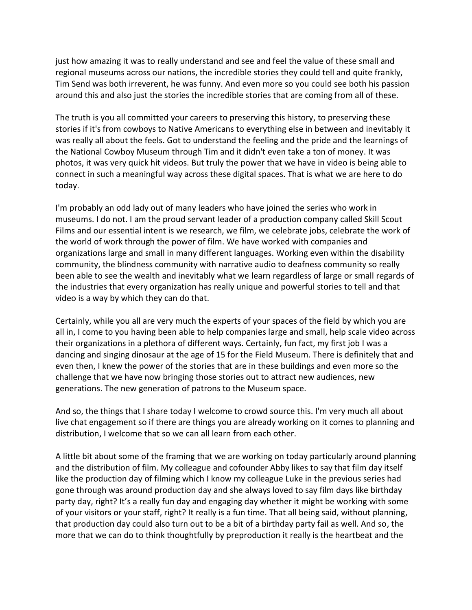just how amazing it was to really understand and see and feel the value of these small and regional museums across our nations, the incredible stories they could tell and quite frankly, Tim Send was both irreverent, he was funny. And even more so you could see both his passion around this and also just the stories the incredible stories that are coming from all of these.

The truth is you all committed your careers to preserving this history, to preserving these stories if it's from cowboys to Native Americans to everything else in between and inevitably it was really all about the feels. Got to understand the feeling and the pride and the learnings of the National Cowboy Museum through Tim and it didn't even take a ton of money. It was photos, it was very quick hit videos. But truly the power that we have in video is being able to connect in such a meaningful way across these digital spaces. That is what we are here to do today.

I'm probably an odd lady out of many leaders who have joined the series who work in museums. I do not. I am the proud servant leader of a production company called Skill Scout Films and our essential intent is we research, we film, we celebrate jobs, celebrate the work of the world of work through the power of film. We have worked with companies and organizations large and small in many different languages. Working even within the disability community, the blindness community with narrative audio to deafness community so really been able to see the wealth and inevitably what we learn regardless of large or small regards of the industries that every organization has really unique and powerful stories to tell and that video is a way by which they can do that.

Certainly, while you all are very much the experts of your spaces of the field by which you are all in, I come to you having been able to help companies large and small, help scale video across their organizations in a plethora of different ways. Certainly, fun fact, my first job I was a dancing and singing dinosaur at the age of 15 for the Field Museum. There is definitely that and even then, I knew the power of the stories that are in these buildings and even more so the challenge that we have now bringing those stories out to attract new audiences, new generations. The new generation of patrons to the Museum space.

And so, the things that I share today I welcome to crowd source this. I'm very much all about live chat engagement so if there are things you are already working on it comes to planning and distribution, I welcome that so we can all learn from each other.

A little bit about some of the framing that we are working on today particularly around planning and the distribution of film. My colleague and cofounder Abby likes to say that film day itself like the production day of filming which I know my colleague Luke in the previous series had gone through was around production day and she always loved to say film days like birthday party day, right? It's a really fun day and engaging day whether it might be working with some of your visitors or your staff, right? It really is a fun time. That all being said, without planning, that production day could also turn out to be a bit of a birthday party fail as well. And so, the more that we can do to think thoughtfully by preproduction it really is the heartbeat and the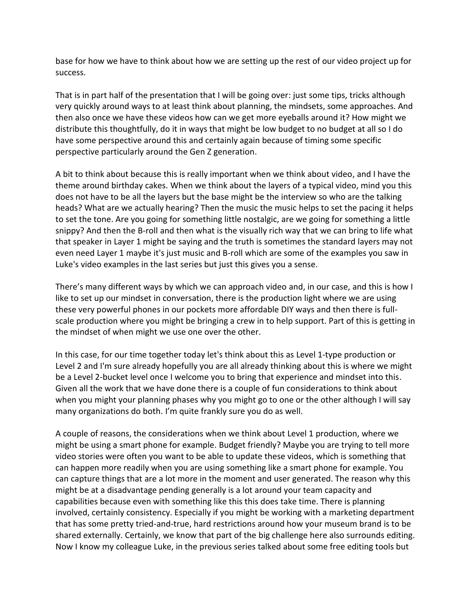base for how we have to think about how we are setting up the rest of our video project up for success.

That is in part half of the presentation that I will be going over: just some tips, tricks although very quickly around ways to at least think about planning, the mindsets, some approaches. And then also once we have these videos how can we get more eyeballs around it? How might we distribute this thoughtfully, do it in ways that might be low budget to no budget at all so I do have some perspective around this and certainly again because of timing some specific perspective particularly around the Gen Z generation.

A bit to think about because this is really important when we think about video, and I have the theme around birthday cakes. When we think about the layers of a typical video, mind you this does not have to be all the layers but the base might be the interview so who are the talking heads? What are we actually hearing? Then the music the music helps to set the pacing it helps to set the tone. Are you going for something little nostalgic, are we going for something a little snippy? And then the B-roll and then what is the visually rich way that we can bring to life what that speaker in Layer 1 might be saying and the truth is sometimes the standard layers may not even need Layer 1 maybe it's just music and B-roll which are some of the examples you saw in Luke's video examples in the last series but just this gives you a sense.

There's many different ways by which we can approach video and, in our case, and this is how I like to set up our mindset in conversation, there is the production light where we are using these very powerful phones in our pockets more affordable DIY ways and then there is fullscale production where you might be bringing a crew in to help support. Part of this is getting in the mindset of when might we use one over the other.

In this case, for our time together today let's think about this as Level 1-type production or Level 2 and I'm sure already hopefully you are all already thinking about this is where we might be a Level 2-bucket level once I welcome you to bring that experience and mindset into this. Given all the work that we have done there is a couple of fun considerations to think about when you might your planning phases why you might go to one or the other although I will say many organizations do both. I'm quite frankly sure you do as well.

A couple of reasons, the considerations when we think about Level 1 production, where we might be using a smart phone for example. Budget friendly? Maybe you are trying to tell more video stories were often you want to be able to update these videos, which is something that can happen more readily when you are using something like a smart phone for example. You can capture things that are a lot more in the moment and user generated. The reason why this might be at a disadvantage pending generally is a lot around your team capacity and capabilities because even with something like this this does take time. There is planning involved, certainly consistency. Especially if you might be working with a marketing department that has some pretty tried-and-true, hard restrictions around how your museum brand is to be shared externally. Certainly, we know that part of the big challenge here also surrounds editing. Now I know my colleague Luke, in the previous series talked about some free editing tools but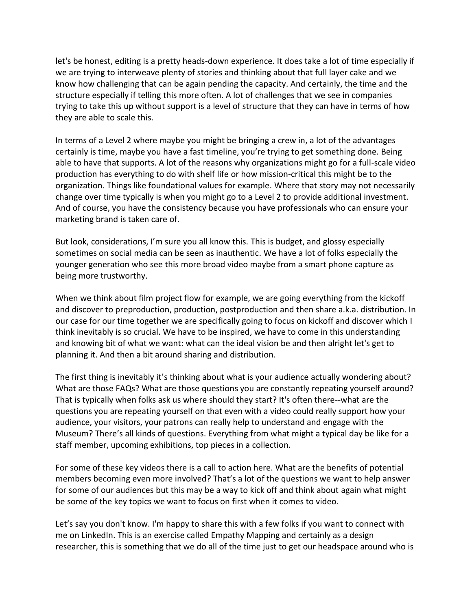let's be honest, editing is a pretty heads-down experience. It does take a lot of time especially if we are trying to interweave plenty of stories and thinking about that full layer cake and we know how challenging that can be again pending the capacity. And certainly, the time and the structure especially if telling this more often. A lot of challenges that we see in companies trying to take this up without support is a level of structure that they can have in terms of how they are able to scale this.

In terms of a Level 2 where maybe you might be bringing a crew in, a lot of the advantages certainly is time, maybe you have a fast timeline, you're trying to get something done. Being able to have that supports. A lot of the reasons why organizations might go for a full-scale video production has everything to do with shelf life or how mission-critical this might be to the organization. Things like foundational values for example. Where that story may not necessarily change over time typically is when you might go to a Level 2 to provide additional investment. And of course, you have the consistency because you have professionals who can ensure your marketing brand is taken care of.

But look, considerations, I'm sure you all know this. This is budget, and glossy especially sometimes on social media can be seen as inauthentic. We have a lot of folks especially the younger generation who see this more broad video maybe from a smart phone capture as being more trustworthy.

When we think about film project flow for example, we are going everything from the kickoff and discover to preproduction, production, postproduction and then share a.k.a. distribution. In our case for our time together we are specifically going to focus on kickoff and discover which I think inevitably is so crucial. We have to be inspired, we have to come in this understanding and knowing bit of what we want: what can the ideal vision be and then alright let's get to planning it. And then a bit around sharing and distribution.

The first thing is inevitably it's thinking about what is your audience actually wondering about? What are those FAQs? What are those questions you are constantly repeating yourself around? That is typically when folks ask us where should they start? It's often there--what are the questions you are repeating yourself on that even with a video could really support how your audience, your visitors, your patrons can really help to understand and engage with the Museum? There's all kinds of questions. Everything from what might a typical day be like for a staff member, upcoming exhibitions, top pieces in a collection.

For some of these key videos there is a call to action here. What are the benefits of potential members becoming even more involved? That's a lot of the questions we want to help answer for some of our audiences but this may be a way to kick off and think about again what might be some of the key topics we want to focus on first when it comes to video.

Let's say you don't know. I'm happy to share this with a few folks if you want to connect with me on LinkedIn. This is an exercise called Empathy Mapping and certainly as a design researcher, this is something that we do all of the time just to get our headspace around who is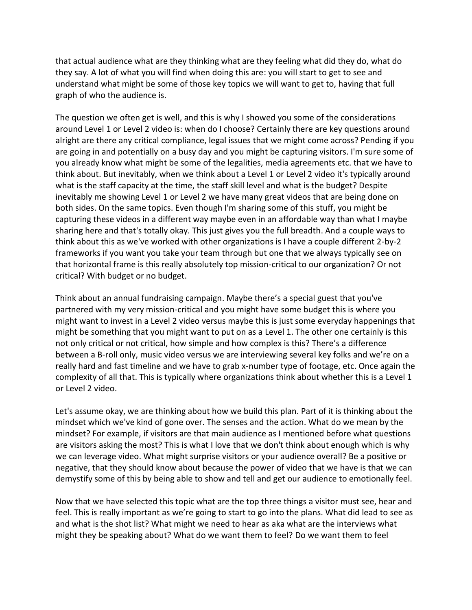that actual audience what are they thinking what are they feeling what did they do, what do they say. A lot of what you will find when doing this are: you will start to get to see and understand what might be some of those key topics we will want to get to, having that full graph of who the audience is.

The question we often get is well, and this is why I showed you some of the considerations around Level 1 or Level 2 video is: when do I choose? Certainly there are key questions around alright are there any critical compliance, legal issues that we might come across? Pending if you are going in and potentially on a busy day and you might be capturing visitors. I'm sure some of you already know what might be some of the legalities, media agreements etc. that we have to think about. But inevitably, when we think about a Level 1 or Level 2 video it's typically around what is the staff capacity at the time, the staff skill level and what is the budget? Despite inevitably me showing Level 1 or Level 2 we have many great videos that are being done on both sides. On the same topics. Even though I'm sharing some of this stuff, you might be capturing these videos in a different way maybe even in an affordable way than what I maybe sharing here and that's totally okay. This just gives you the full breadth. And a couple ways to think about this as we've worked with other organizations is I have a couple different 2-by-2 frameworks if you want you take your team through but one that we always typically see on that horizontal frame is this really absolutely top mission-critical to our organization? Or not critical? With budget or no budget.

Think about an annual fundraising campaign. Maybe there's a special guest that you've partnered with my very mission-critical and you might have some budget this is where you might want to invest in a Level 2 video versus maybe this is just some everyday happenings that might be something that you might want to put on as a Level 1. The other one certainly is this not only critical or not critical, how simple and how complex is this? There's a difference between a B-roll only, music video versus we are interviewing several key folks and we're on a really hard and fast timeline and we have to grab x-number type of footage, etc. Once again the complexity of all that. This is typically where organizations think about whether this is a Level 1 or Level 2 video.

Let's assume okay, we are thinking about how we build this plan. Part of it is thinking about the mindset which we've kind of gone over. The senses and the action. What do we mean by the mindset? For example, if visitors are that main audience as I mentioned before what questions are visitors asking the most? This is what I love that we don't think about enough which is why we can leverage video. What might surprise visitors or your audience overall? Be a positive or negative, that they should know about because the power of video that we have is that we can demystify some of this by being able to show and tell and get our audience to emotionally feel.

Now that we have selected this topic what are the top three things a visitor must see, hear and feel. This is really important as we're going to start to go into the plans. What did lead to see as and what is the shot list? What might we need to hear as aka what are the interviews what might they be speaking about? What do we want them to feel? Do we want them to feel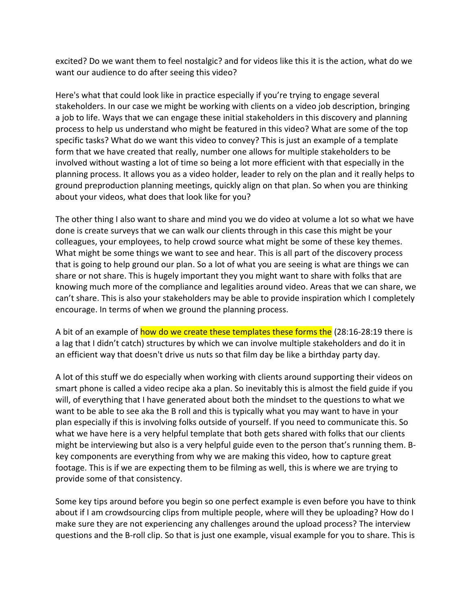excited? Do we want them to feel nostalgic? and for videos like this it is the action, what do we want our audience to do after seeing this video?

Here's what that could look like in practice especially if you're trying to engage several stakeholders. In our case we might be working with clients on a video job description, bringing a job to life. Ways that we can engage these initial stakeholders in this discovery and planning process to help us understand who might be featured in this video? What are some of the top specific tasks? What do we want this video to convey? This is just an example of a template form that we have created that really, number one allows for multiple stakeholders to be involved without wasting a lot of time so being a lot more efficient with that especially in the planning process. It allows you as a video holder, leader to rely on the plan and it really helps to ground preproduction planning meetings, quickly align on that plan. So when you are thinking about your videos, what does that look like for you?

The other thing I also want to share and mind you we do video at volume a lot so what we have done is create surveys that we can walk our clients through in this case this might be your colleagues, your employees, to help crowd source what might be some of these key themes. What might be some things we want to see and hear. This is all part of the discovery process that is going to help ground our plan. So a lot of what you are seeing is what are things we can share or not share. This is hugely important they you might want to share with folks that are knowing much more of the compliance and legalities around video. Areas that we can share, we can't share. This is also your stakeholders may be able to provide inspiration which I completely encourage. In terms of when we ground the planning process.

A bit of an example of how do we create these templates these forms the (28:16-28:19 there is a lag that I didn't catch) structures by which we can involve multiple stakeholders and do it in an efficient way that doesn't drive us nuts so that film day be like a birthday party day.

A lot of this stuff we do especially when working with clients around supporting their videos on smart phone is called a video recipe aka a plan. So inevitably this is almost the field guide if you will, of everything that I have generated about both the mindset to the questions to what we want to be able to see aka the B roll and this is typically what you may want to have in your plan especially if this is involving folks outside of yourself. If you need to communicate this. So what we have here is a very helpful template that both gets shared with folks that our clients might be interviewing but also is a very helpful guide even to the person that's running them. Bkey components are everything from why we are making this video, how to capture great footage. This is if we are expecting them to be filming as well, this is where we are trying to provide some of that consistency.

Some key tips around before you begin so one perfect example is even before you have to think about if I am crowdsourcing clips from multiple people, where will they be uploading? How do I make sure they are not experiencing any challenges around the upload process? The interview questions and the B-roll clip. So that is just one example, visual example for you to share. This is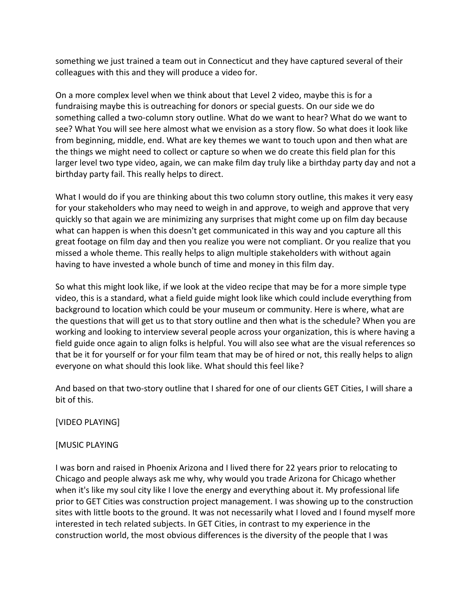something we just trained a team out in Connecticut and they have captured several of their colleagues with this and they will produce a video for.

On a more complex level when we think about that Level 2 video, maybe this is for a fundraising maybe this is outreaching for donors or special guests. On our side we do something called a two-column story outline. What do we want to hear? What do we want to see? What You will see here almost what we envision as a story flow. So what does it look like from beginning, middle, end. What are key themes we want to touch upon and then what are the things we might need to collect or capture so when we do create this field plan for this larger level two type video, again, we can make film day truly like a birthday party day and not a birthday party fail. This really helps to direct.

What I would do if you are thinking about this two column story outline, this makes it very easy for your stakeholders who may need to weigh in and approve, to weigh and approve that very quickly so that again we are minimizing any surprises that might come up on film day because what can happen is when this doesn't get communicated in this way and you capture all this great footage on film day and then you realize you were not compliant. Or you realize that you missed a whole theme. This really helps to align multiple stakeholders with without again having to have invested a whole bunch of time and money in this film day.

So what this might look like, if we look at the video recipe that may be for a more simple type video, this is a standard, what a field guide might look like which could include everything from background to location which could be your museum or community. Here is where, what are the questions that will get us to that story outline and then what is the schedule? When you are working and looking to interview several people across your organization, this is where having a field guide once again to align folks is helpful. You will also see what are the visual references so that be it for yourself or for your film team that may be of hired or not, this really helps to align everyone on what should this look like. What should this feel like?

And based on that two-story outline that I shared for one of our clients GET Cities, I will share a bit of this.

[VIDEO PLAYING]

### [MUSIC PLAYING

I was born and raised in Phoenix Arizona and I lived there for 22 years prior to relocating to Chicago and people always ask me why, why would you trade Arizona for Chicago whether when it's like my soul city like I love the energy and everything about it. My professional life prior to GET Cities was construction project management. I was showing up to the construction sites with little boots to the ground. It was not necessarily what I loved and I found myself more interested in tech related subjects. In GET Cities, in contrast to my experience in the construction world, the most obvious differences is the diversity of the people that I was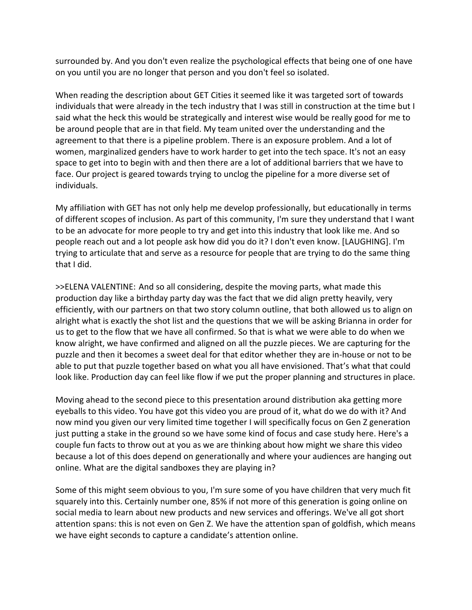surrounded by. And you don't even realize the psychological effects that being one of one have on you until you are no longer that person and you don't feel so isolated.

When reading the description about GET Cities it seemed like it was targeted sort of towards individuals that were already in the tech industry that I was still in construction at the time but I said what the heck this would be strategically and interest wise would be really good for me to be around people that are in that field. My team united over the understanding and the agreement to that there is a pipeline problem. There is an exposure problem. And a lot of women, marginalized genders have to work harder to get into the tech space. It's not an easy space to get into to begin with and then there are a lot of additional barriers that we have to face. Our project is geared towards trying to unclog the pipeline for a more diverse set of individuals.

My affiliation with GET has not only help me develop professionally, but educationally in terms of different scopes of inclusion. As part of this community, I'm sure they understand that I want to be an advocate for more people to try and get into this industry that look like me. And so people reach out and a lot people ask how did you do it? I don't even know. [LAUGHING]. I'm trying to articulate that and serve as a resource for people that are trying to do the same thing that I did.

>>ELENA VALENTINE: And so all considering, despite the moving parts, what made this production day like a birthday party day was the fact that we did align pretty heavily, very efficiently, with our partners on that two story column outline, that both allowed us to align on alright what is exactly the shot list and the questions that we will be asking Brianna in order for us to get to the flow that we have all confirmed. So that is what we were able to do when we know alright, we have confirmed and aligned on all the puzzle pieces. We are capturing for the puzzle and then it becomes a sweet deal for that editor whether they are in-house or not to be able to put that puzzle together based on what you all have envisioned. That's what that could look like. Production day can feel like flow if we put the proper planning and structures in place.

Moving ahead to the second piece to this presentation around distribution aka getting more eyeballs to this video. You have got this video you are proud of it, what do we do with it? And now mind you given our very limited time together I will specifically focus on Gen Z generation just putting a stake in the ground so we have some kind of focus and case study here. Here's a couple fun facts to throw out at you as we are thinking about how might we share this video because a lot of this does depend on generationally and where your audiences are hanging out online. What are the digital sandboxes they are playing in?

Some of this might seem obvious to you, I'm sure some of you have children that very much fit squarely into this. Certainly number one, 85% if not more of this generation is going online on social media to learn about new products and new services and offerings. We've all got short attention spans: this is not even on Gen Z. We have the attention span of goldfish, which means we have eight seconds to capture a candidate's attention online.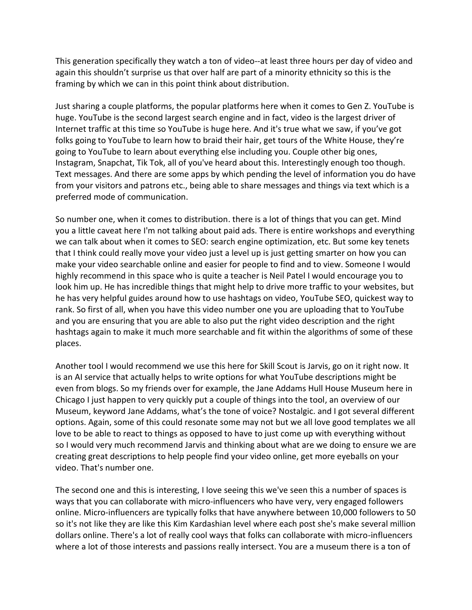This generation specifically they watch a ton of video--at least three hours per day of video and again this shouldn't surprise us that over half are part of a minority ethnicity so this is the framing by which we can in this point think about distribution.

Just sharing a couple platforms, the popular platforms here when it comes to Gen Z. YouTube is huge. YouTube is the second largest search engine and in fact, video is the largest driver of Internet traffic at this time so YouTube is huge here. And it's true what we saw, if you've got folks going to YouTube to learn how to braid their hair, get tours of the White House, they're going to YouTube to learn about everything else including you. Couple other big ones, Instagram, Snapchat, Tik Tok, all of you've heard about this. Interestingly enough too though. Text messages. And there are some apps by which pending the level of information you do have from your visitors and patrons etc., being able to share messages and things via text which is a preferred mode of communication.

So number one, when it comes to distribution. there is a lot of things that you can get. Mind you a little caveat here I'm not talking about paid ads. There is entire workshops and everything we can talk about when it comes to SEO: search engine optimization, etc. But some key tenets that I think could really move your video just a level up is just getting smarter on how you can make your video searchable online and easier for people to find and to view. Someone I would highly recommend in this space who is quite a teacher is Neil Patel I would encourage you to look him up. He has incredible things that might help to drive more traffic to your websites, but he has very helpful guides around how to use hashtags on video, YouTube SEO, quickest way to rank. So first of all, when you have this video number one you are uploading that to YouTube and you are ensuring that you are able to also put the right video description and the right hashtags again to make it much more searchable and fit within the algorithms of some of these places.

Another tool I would recommend we use this here for Skill Scout is Jarvis, go on it right now. It is an AI service that actually helps to write options for what YouTube descriptions might be even from blogs. So my friends over for example, the Jane Addams Hull House Museum here in Chicago I just happen to very quickly put a couple of things into the tool, an overview of our Museum, keyword Jane Addams, what's the tone of voice? Nostalgic. and I got several different options. Again, some of this could resonate some may not but we all love good templates we all love to be able to react to things as opposed to have to just come up with everything without so I would very much recommend Jarvis and thinking about what are we doing to ensure we are creating great descriptions to help people find your video online, get more eyeballs on your video. That's number one.

The second one and this is interesting, I love seeing this we've seen this a number of spaces is ways that you can collaborate with micro-influencers who have very, very engaged followers online. Micro-influencers are typically folks that have anywhere between 10,000 followers to 50 so it's not like they are like this Kim Kardashian level where each post she's make several million dollars online. There's a lot of really cool ways that folks can collaborate with micro-influencers where a lot of those interests and passions really intersect. You are a museum there is a ton of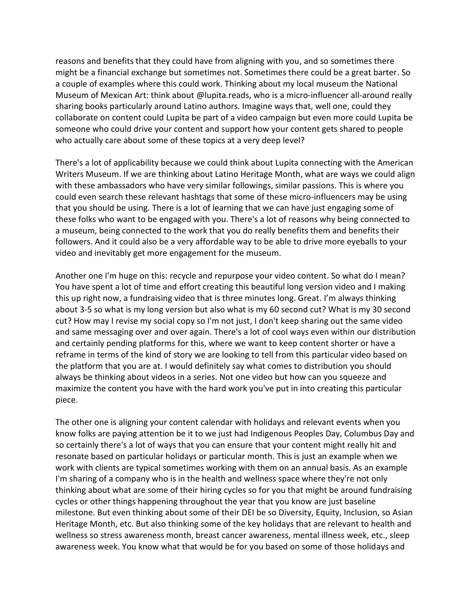reasons and benefits that they could have from aligning with you, and so sometimes there might be a financial exchange but sometimes not. Sometimes there could be a great barter. So a couple of examples where this could work. Thinking about my local museum the National Museum of Mexican Art: think about @lupita.reads, who is a micro-influencer all-around really sharing books particularly around Latino authors. Imagine ways that, well one, could they collaborate on content could Lupita be part of a video campaign but even more could Lupita be someone who could drive your content and support how your content gets shared to people who actually care about some of these topics at a very deep level?

There's a lot of applicability because we could think about Lupita connecting with the American Writers Museum. If we are thinking about Latino Heritage Month, what are ways we could align with these ambassadors who have very similar followings, similar passions. This is where you could even search these relevant hashtags that some of these micro-influencers may be using that you should be using. There is a lot of learning that we can have just engaging some of these folks who want to be engaged with you. There's a lot of reasons why being connected to a museum, being connected to the work that you do really benefits them and benefits their followers. And it could also be a very affordable way to be able to drive more eyeballs to your video and inevitably get more engagement for the museum.

Another one I'm huge on this: recycle and repurpose your video content. So what do I mean? You have spent a lot of time and effort creating this beautiful long version video and I making this up right now, a fundraising video that is three minutes long. Great. I'm always thinking about 3-5 so what is my long version but also what is my 60 second cut? What is my 30 second cut? How may I revise my social copy so I'm not just, I don't keep sharing out the same video and same messaging over and over again. There's a lot of cool ways even within our distribution and certainly pending platforms for this, where we want to keep content shorter or have a reframe in terms of the kind of story we are looking to tell from this particular video based on the platform that you are at. I would definitely say what comes to distribution you should always be thinking about videos in a series. Not one video but how can you squeeze and maximize the content you have with the hard work you've put in into creating this particular piece.

The other one is aligning your content calendar with holidays and relevant events when you know folks are paying attention be it to we just had Indigenous Peoples Day, Columbus Day and so certainly there's a lot of ways that you can ensure that your content might really hit and resonate based on particular holidays or particular month. This is just an example when we work with clients are typical sometimes working with them on an annual basis. As an example I'm sharing of a company who is in the health and wellness space where they're not only thinking about what are some of their hiring cycles so for you that might be around fundraising cycles or other things happening throughout the year that you know are just baseline milestone. But even thinking about some of their DEI be so Diversity, Equity, Inclusion, so Asian Heritage Month, etc. But also thinking some of the key holidays that are relevant to health and wellness so stress awareness month, breast cancer awareness, mental illness week, etc., sleep awareness week. You know what that would be for you based on some of those holidays and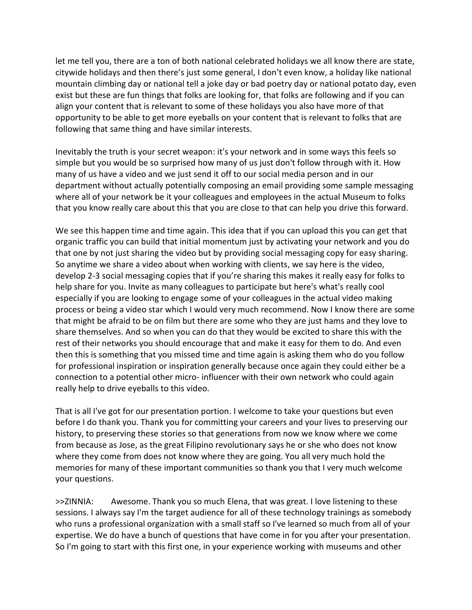let me tell you, there are a ton of both national celebrated holidays we all know there are state, citywide holidays and then there's just some general, I don't even know, a holiday like national mountain climbing day or national tell a joke day or bad poetry day or national potato day, even exist but these are fun things that folks are looking for, that folks are following and if you can align your content that is relevant to some of these holidays you also have more of that opportunity to be able to get more eyeballs on your content that is relevant to folks that are following that same thing and have similar interests.

Inevitably the truth is your secret weapon: it's your network and in some ways this feels so simple but you would be so surprised how many of us just don't follow through with it. How many of us have a video and we just send it off to our social media person and in our department without actually potentially composing an email providing some sample messaging where all of your network be it your colleagues and employees in the actual Museum to folks that you know really care about this that you are close to that can help you drive this forward.

We see this happen time and time again. This idea that if you can upload this you can get that organic traffic you can build that initial momentum just by activating your network and you do that one by not just sharing the video but by providing social messaging copy for easy sharing. So anytime we share a video about when working with clients, we say here is the video, develop 2-3 social messaging copies that if you're sharing this makes it really easy for folks to help share for you. Invite as many colleagues to participate but here's what's really cool especially if you are looking to engage some of your colleagues in the actual video making process or being a video star which I would very much recommend. Now I know there are some that might be afraid to be on film but there are some who they are just hams and they love to share themselves. And so when you can do that they would be excited to share this with the rest of their networks you should encourage that and make it easy for them to do. And even then this is something that you missed time and time again is asking them who do you follow for professional inspiration or inspiration generally because once again they could either be a connection to a potential other micro- influencer with their own network who could again really help to drive eyeballs to this video.

That is all I've got for our presentation portion. I welcome to take your questions but even before I do thank you. Thank you for committing your careers and your lives to preserving our history, to preserving these stories so that generations from now we know where we come from because as Jose, as the great Filipino revolutionary says he or she who does not know where they come from does not know where they are going. You all very much hold the memories for many of these important communities so thank you that I very much welcome your questions.

>>ZINNIA: Awesome. Thank you so much Elena, that was great. I love listening to these sessions. I always say I'm the target audience for all of these technology trainings as somebody who runs a professional organization with a small staff so I've learned so much from all of your expertise. We do have a bunch of questions that have come in for you after your presentation. So I'm going to start with this first one, in your experience working with museums and other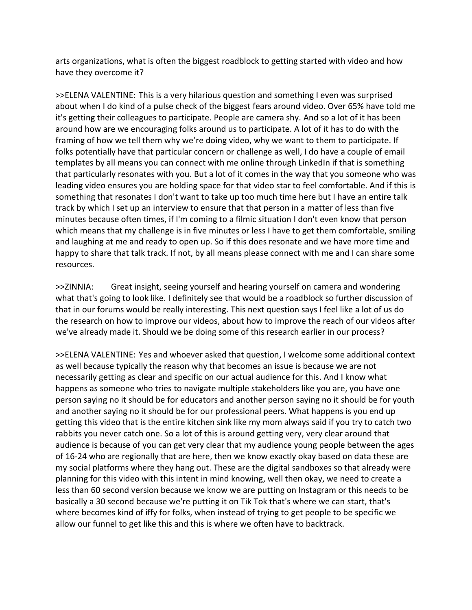arts organizations, what is often the biggest roadblock to getting started with video and how have they overcome it?

>>ELENA VALENTINE: This is a very hilarious question and something I even was surprised about when I do kind of a pulse check of the biggest fears around video. Over 65% have told me it's getting their colleagues to participate. People are camera shy. And so a lot of it has been around how are we encouraging folks around us to participate. A lot of it has to do with the framing of how we tell them why we're doing video, why we want to them to participate. If folks potentially have that particular concern or challenge as well, I do have a couple of email templates by all means you can connect with me online through LinkedIn if that is something that particularly resonates with you. But a lot of it comes in the way that you someone who was leading video ensures you are holding space for that video star to feel comfortable. And if this is something that resonates I don't want to take up too much time here but I have an entire talk track by which I set up an interview to ensure that that person in a matter of less than five minutes because often times, if I'm coming to a filmic situation I don't even know that person which means that my challenge is in five minutes or less I have to get them comfortable, smiling and laughing at me and ready to open up. So if this does resonate and we have more time and happy to share that talk track. If not, by all means please connect with me and I can share some resources.

>>ZINNIA: Great insight, seeing yourself and hearing yourself on camera and wondering what that's going to look like. I definitely see that would be a roadblock so further discussion of that in our forums would be really interesting. This next question says I feel like a lot of us do the research on how to improve our videos, about how to improve the reach of our videos after we've already made it. Should we be doing some of this research earlier in our process?

>>ELENA VALENTINE: Yes and whoever asked that question, I welcome some additional context as well because typically the reason why that becomes an issue is because we are not necessarily getting as clear and specific on our actual audience for this. And I know what happens as someone who tries to navigate multiple stakeholders like you are, you have one person saying no it should be for educators and another person saying no it should be for youth and another saying no it should be for our professional peers. What happens is you end up getting this video that is the entire kitchen sink like my mom always said if you try to catch two rabbits you never catch one. So a lot of this is around getting very, very clear around that audience is because of you can get very clear that my audience young people between the ages of 16-24 who are regionally that are here, then we know exactly okay based on data these are my social platforms where they hang out. These are the digital sandboxes so that already were planning for this video with this intent in mind knowing, well then okay, we need to create a less than 60 second version because we know we are putting on Instagram or this needs to be basically a 30 second because we're putting it on Tik Tok that's where we can start, that's where becomes kind of iffy for folks, when instead of trying to get people to be specific we allow our funnel to get like this and this is where we often have to backtrack.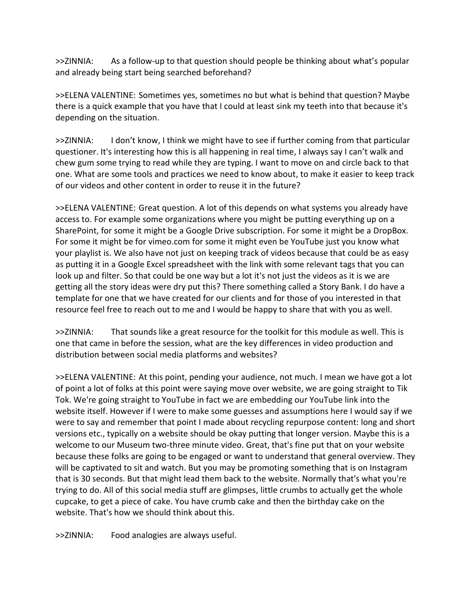>>ZINNIA: As a follow-up to that question should people be thinking about what's popular and already being start being searched beforehand?

>>ELENA VALENTINE: Sometimes yes, sometimes no but what is behind that question? Maybe there is a quick example that you have that I could at least sink my teeth into that because it's depending on the situation.

>>ZINNIA: I don't know, I think we might have to see if further coming from that particular questioner. It's interesting how this is all happening in real time, I always say I can't walk and chew gum some trying to read while they are typing. I want to move on and circle back to that one. What are some tools and practices we need to know about, to make it easier to keep track of our videos and other content in order to reuse it in the future?

>>ELENA VALENTINE: Great question. A lot of this depends on what systems you already have access to. For example some organizations where you might be putting everything up on a SharePoint, for some it might be a Google Drive subscription. For some it might be a DropBox. For some it might be for vimeo.com for some it might even be YouTube just you know what your playlist is. We also have not just on keeping track of videos because that could be as easy as putting it in a Google Excel spreadsheet with the link with some relevant tags that you can look up and filter. So that could be one way but a lot it's not just the videos as it is we are getting all the story ideas were dry put this? There something called a Story Bank. I do have a template for one that we have created for our clients and for those of you interested in that resource feel free to reach out to me and I would be happy to share that with you as well.

>>ZINNIA: That sounds like a great resource for the toolkit for this module as well. This is one that came in before the session, what are the key differences in video production and distribution between social media platforms and websites?

>>ELENA VALENTINE: At this point, pending your audience, not much. I mean we have got a lot of point a lot of folks at this point were saying move over website, we are going straight to Tik Tok. We're going straight to YouTube in fact we are embedding our YouTube link into the website itself. However if I were to make some guesses and assumptions here I would say if we were to say and remember that point I made about recycling repurpose content: long and short versions etc., typically on a website should be okay putting that longer version. Maybe this is a welcome to our Museum two-three minute video. Great, that's fine put that on your website because these folks are going to be engaged or want to understand that general overview. They will be captivated to sit and watch. But you may be promoting something that is on Instagram that is 30 seconds. But that might lead them back to the website. Normally that's what you're trying to do. All of this social media stuff are glimpses, little crumbs to actually get the whole cupcake, to get a piece of cake. You have crumb cake and then the birthday cake on the website. That's how we should think about this.

>>ZINNIA: Food analogies are always useful.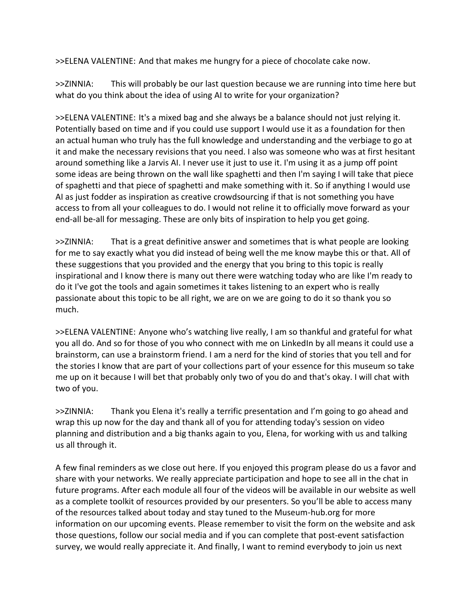>>ELENA VALENTINE: And that makes me hungry for a piece of chocolate cake now.

>>ZINNIA: This will probably be our last question because we are running into time here but what do you think about the idea of using AI to write for your organization?

>>ELENA VALENTINE: It's a mixed bag and she always be a balance should not just relying it. Potentially based on time and if you could use support I would use it as a foundation for then an actual human who truly has the full knowledge and understanding and the verbiage to go at it and make the necessary revisions that you need. I also was someone who was at first hesitant around something like a Jarvis AI. I never use it just to use it. I'm using it as a jump off point some ideas are being thrown on the wall like spaghetti and then I'm saying I will take that piece of spaghetti and that piece of spaghetti and make something with it. So if anything I would use AI as just fodder as inspiration as creative crowdsourcing if that is not something you have access to from all your colleagues to do. I would not reline it to officially move forward as your end-all be-all for messaging. These are only bits of inspiration to help you get going.

>>ZINNIA: That is a great definitive answer and sometimes that is what people are looking for me to say exactly what you did instead of being well the me know maybe this or that. All of these suggestions that you provided and the energy that you bring to this topic is really inspirational and I know there is many out there were watching today who are like I'm ready to do it I've got the tools and again sometimes it takes listening to an expert who is really passionate about this topic to be all right, we are on we are going to do it so thank you so much.

>>ELENA VALENTINE: Anyone who's watching live really, I am so thankful and grateful for what you all do. And so for those of you who connect with me on LinkedIn by all means it could use a brainstorm, can use a brainstorm friend. I am a nerd for the kind of stories that you tell and for the stories I know that are part of your collections part of your essence for this museum so take me up on it because I will bet that probably only two of you do and that's okay. I will chat with two of you.

>>ZINNIA: Thank you Elena it's really a terrific presentation and I'm going to go ahead and wrap this up now for the day and thank all of you for attending today's session on video planning and distribution and a big thanks again to you, Elena, for working with us and talking us all through it.

A few final reminders as we close out here. If you enjoyed this program please do us a favor and share with your networks. We really appreciate participation and hope to see all in the chat in future programs. After each module all four of the videos will be available in our website as well as a complete toolkit of resources provided by our presenters. So you'll be able to access many of the resources talked about today and stay tuned to the Museum-hub.org for more information on our upcoming events. Please remember to visit the form on the website and ask those questions, follow our social media and if you can complete that post-event satisfaction survey, we would really appreciate it. And finally, I want to remind everybody to join us next